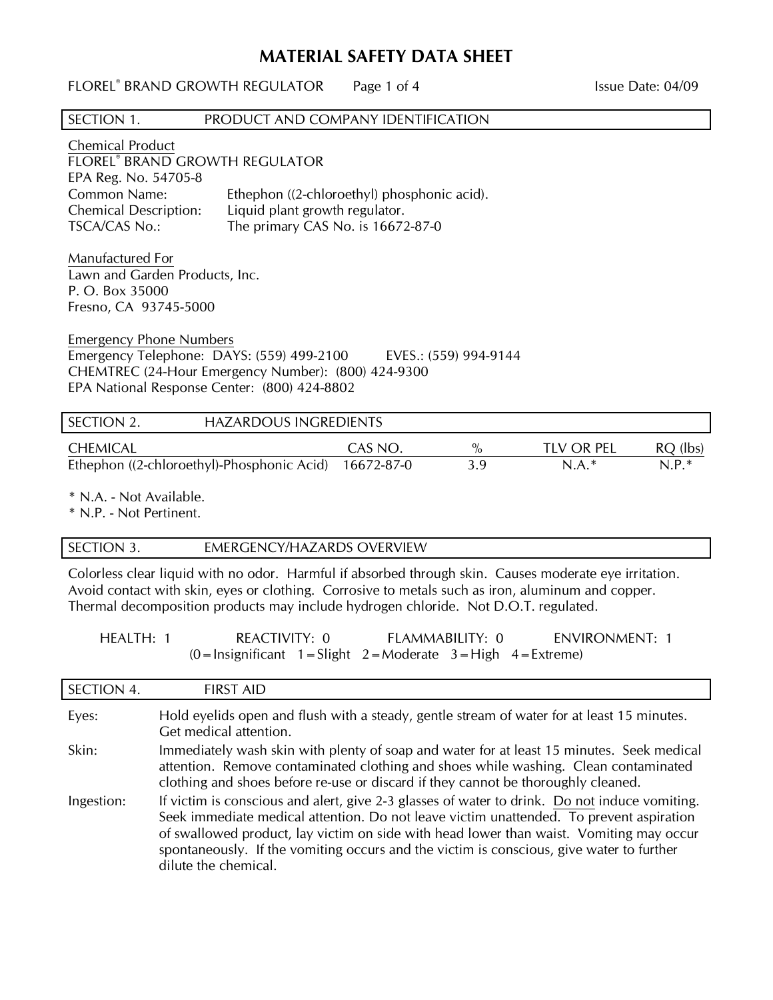# **MATERIAL SAFETY DATA SHEET**

| SECTION 1.<br>PRODUCT AND COMPANY IDENTIFICATION                                                                                                                                                              |                                                                                  |                      |                              |                       |
|---------------------------------------------------------------------------------------------------------------------------------------------------------------------------------------------------------------|----------------------------------------------------------------------------------|----------------------|------------------------------|-----------------------|
| <b>Chemical Product</b><br><b>FLOREL<sup>®</sup> BRAND GROWTH REGULATOR</b><br>EPA Reg. No. 54705-8<br>Common Name:<br><b>Chemical Description:</b><br>Liquid plant growth regulator.<br><b>TSCA/CAS No.:</b> | Ethephon ((2-chloroethyl) phosphonic acid).<br>The primary CAS No. is 16672-87-0 |                      |                              |                       |
| Manufactured For<br>Lawn and Garden Products, Inc.<br>P. O. Box 35000<br>Fresno, CA 93745-5000                                                                                                                |                                                                                  |                      |                              |                       |
| <b>Emergency Phone Numbers</b><br>Emergency Telephone: DAYS: (559) 499-2100<br>EVES.: (559) 994-9144<br>CHEMTREC (24-Hour Emergency Number): (800) 424-9300<br>EPA National Response Center: (800) 424-8802   |                                                                                  |                      |                              |                       |
| SECTION 2.<br><b>HAZARDOUS INGREDIENTS</b>                                                                                                                                                                    |                                                                                  |                      |                              |                       |
| <b>CHEMICAL</b><br>Ethephon ((2-chloroethyl)-Phosphonic Acid)                                                                                                                                                 | CAS NO.<br>16672-87-0                                                            | $\frac{0}{0}$<br>3.9 | <b>TLV OR PEL</b><br>$N.A.*$ | $RQ$ (lbs)<br>$N.P.*$ |

\* N.A. - Not Available.

\* N.P. - Not Pertinent.

## SECTION 3. **EMERGENCY/HAZARDS OVERVIEW**

Colorless clear liquid with no odor. Harmful if absorbed through skin. Causes moderate eye irritation. Avoid contact with skin, eyes or clothing. Corrosive to metals such as iron, aluminum and copper. Thermal decomposition products may include hydrogen chloride. Not D.O.T. regulated.

| HEALTH: 1 | REACTIVITY: 0                                                                                                                 | FLAMMABILITY: 0 | ENVIRONMENT: 1 |
|-----------|-------------------------------------------------------------------------------------------------------------------------------|-----------------|----------------|
|           | $(0 = \text{Insignificant} \quad 1 = \text{Slight} \quad 2 = \text{Modernate} \quad 3 = \text{High} \quad 4 = \text{Extreme}$ |                 |                |

| SECTION 4. | <b>FIRST AID</b>                                                                                                                                                                                                                                                                                                                                                                                        |
|------------|---------------------------------------------------------------------------------------------------------------------------------------------------------------------------------------------------------------------------------------------------------------------------------------------------------------------------------------------------------------------------------------------------------|
| Eyes:      | Hold eyelids open and flush with a steady, gentle stream of water for at least 15 minutes.<br>Get medical attention.                                                                                                                                                                                                                                                                                    |
| Skin:      | Immediately wash skin with plenty of soap and water for at least 15 minutes. Seek medical<br>attention. Remove contaminated clothing and shoes while washing. Clean contaminated<br>clothing and shoes before re-use or discard if they cannot be thoroughly cleaned.                                                                                                                                   |
| Ingestion: | If victim is conscious and alert, give 2-3 glasses of water to drink. Do not induce vomiting.<br>Seek immediate medical attention. Do not leave victim unattended. To prevent aspiration<br>of swallowed product, lay victim on side with head lower than waist. Vomiting may occur<br>spontaneously. If the vomiting occurs and the victim is conscious, give water to further<br>dilute the chemical. |

FLOREL<sup>®</sup> BRAND GROWTH REGULATOR Page 1 of 4 1999 ISSUE Date: 04/09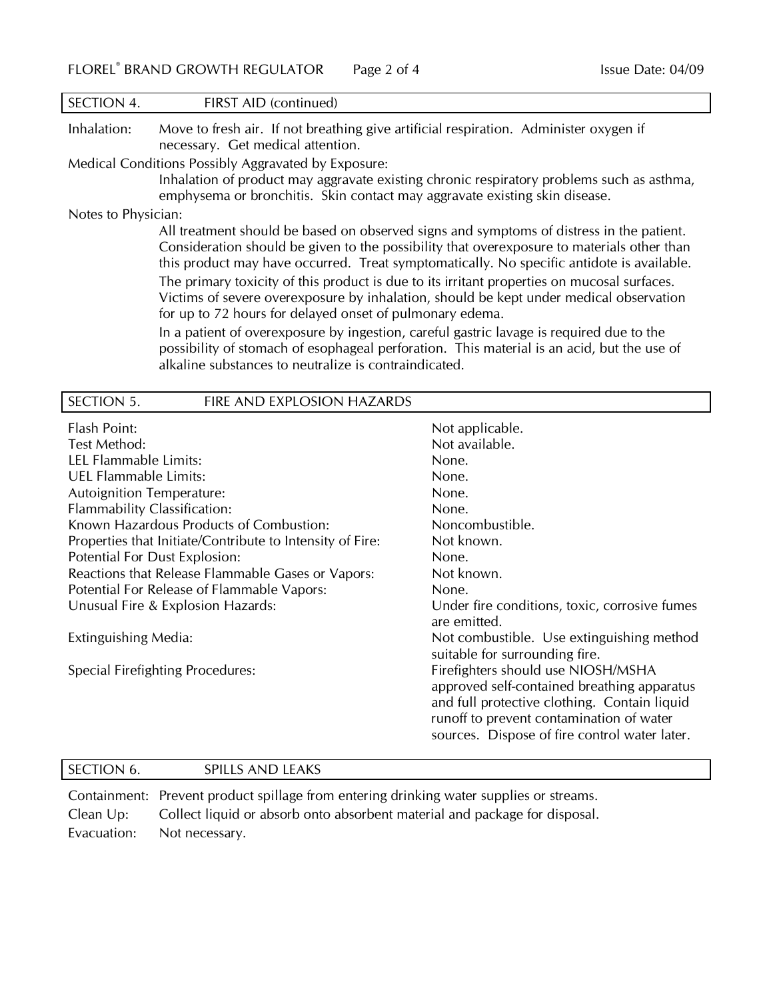| SECTION 4.          | FIRST AID (continued)                                                                                                                                                                                                                                                               |
|---------------------|-------------------------------------------------------------------------------------------------------------------------------------------------------------------------------------------------------------------------------------------------------------------------------------|
| Inhalation:         | Move to fresh air. If not breathing give artificial respiration. Administer oxygen if<br>necessary. Get medical attention.                                                                                                                                                          |
|                     | Medical Conditions Possibly Aggravated by Exposure:<br>Inhalation of product may aggravate existing chronic respiratory problems such as asthma,<br>emphysema or bronchitis. Skin contact may aggravate existing skin disease.                                                      |
| Notes to Physician: |                                                                                                                                                                                                                                                                                     |
|                     | All treatment should be based on observed signs and symptoms of distress in the patient.<br>Consideration should be given to the possibility that overexposure to materials other than<br>this product may have occurred. Treat symptomatically. No specific antidote is available. |
|                     | The primary toxicity of this product is due to its irritant properties on mucosal surfaces.<br>Victims of severe overexposure by inhalation, should be kept under medical observation<br>for up to 72 hours for delayed onset of pulmonary edema.                                   |
|                     | In a patient of overexposure by ingestion, careful gastric lavage is required due to the<br>possibility of stomach of esophageal perforation. This material is an acid, but the use of<br>alkaline substances to neutralize is contraindicated.                                     |

| SECTION 5.<br>FIRE AND EXPLOSION HAZARDS                  |                                                                                                                                                                                                                                |
|-----------------------------------------------------------|--------------------------------------------------------------------------------------------------------------------------------------------------------------------------------------------------------------------------------|
| Flash Point:                                              | Not applicable.                                                                                                                                                                                                                |
| Test Method:                                              | Not available.                                                                                                                                                                                                                 |
| LEL Flammable Limits:                                     | None.                                                                                                                                                                                                                          |
| <b>UEL Flammable Limits:</b>                              | None.                                                                                                                                                                                                                          |
| <b>Autoignition Temperature:</b>                          | None.                                                                                                                                                                                                                          |
| Flammability Classification:                              | None.                                                                                                                                                                                                                          |
| Known Hazardous Products of Combustion:                   | Noncombustible.                                                                                                                                                                                                                |
| Properties that Initiate/Contribute to Intensity of Fire: | Not known.                                                                                                                                                                                                                     |
| Potential For Dust Explosion:                             | None.                                                                                                                                                                                                                          |
| Reactions that Release Flammable Gases or Vapors:         | Not known.                                                                                                                                                                                                                     |
| Potential For Release of Flammable Vapors:                | None.                                                                                                                                                                                                                          |
| Unusual Fire & Explosion Hazards:                         | Under fire conditions, toxic, corrosive fumes<br>are emitted.                                                                                                                                                                  |
| Extinguishing Media:                                      | Not combustible. Use extinguishing method<br>suitable for surrounding fire.                                                                                                                                                    |
| Special Firefighting Procedures:                          | Firefighters should use NIOSH/MSHA<br>approved self-contained breathing apparatus<br>and full protective clothing. Contain liquid<br>runoff to prevent contamination of water<br>sources. Dispose of fire control water later. |

# SECTION 6. SPILLS AND LEAKS

Containment: Prevent product spillage from entering drinking water supplies or streams. Clean Up: Collect liquid or absorb onto absorbent material and package for disposal. Evacuation: Not necessary.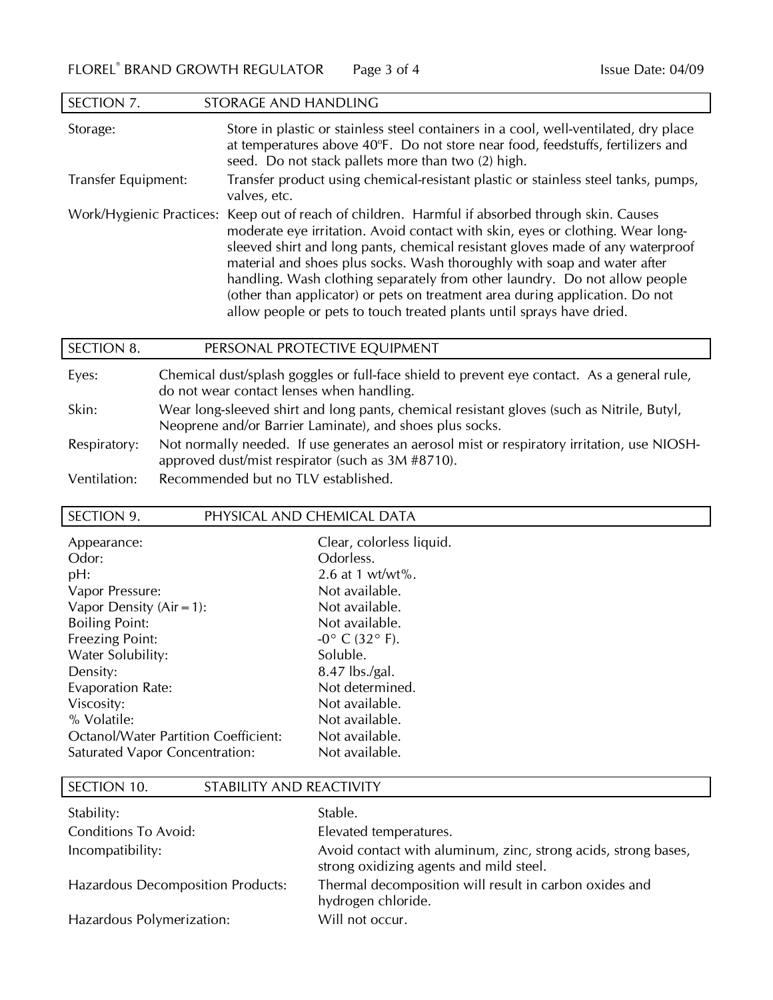| SECTION 7.          | STORAGE AND HANDLING                                                                                                                                                                                                                                                                                                                                                                                                                                                                                                                                                                    |
|---------------------|-----------------------------------------------------------------------------------------------------------------------------------------------------------------------------------------------------------------------------------------------------------------------------------------------------------------------------------------------------------------------------------------------------------------------------------------------------------------------------------------------------------------------------------------------------------------------------------------|
| Storage:            | Store in plastic or stainless steel containers in a cool, well-ventilated, dry place<br>at temperatures above 40°F. Do not store near food, feedstuffs, fertilizers and<br>seed. Do not stack pallets more than two (2) high.                                                                                                                                                                                                                                                                                                                                                           |
| Transfer Equipment: | Transfer product using chemical-resistant plastic or stainless steel tanks, pumps,<br>valves, etc.                                                                                                                                                                                                                                                                                                                                                                                                                                                                                      |
|                     | Work/Hygienic Practices: Keep out of reach of children. Harmful if absorbed through skin. Causes<br>moderate eye irritation. Avoid contact with skin, eyes or clothing. Wear long-<br>sleeved shirt and long pants, chemical resistant gloves made of any waterproof<br>material and shoes plus socks. Wash thoroughly with soap and water after<br>handling. Wash clothing separately from other laundry. Do not allow people<br>(other than applicator) or pets on treatment area during application. Do not<br>allow people or pets to touch treated plants until sprays have dried. |

| SECTION 8.   | PERSONAL PROTECTIVE EQUIPMENT                                                                                                                          |
|--------------|--------------------------------------------------------------------------------------------------------------------------------------------------------|
| Eyes:        | Chemical dust/splash goggles or full-face shield to prevent eye contact. As a general rule,<br>do not wear contact lenses when handling.               |
| Skin:        | Wear long-sleeved shirt and long pants, chemical resistant gloves (such as Nitrile, Butyl,<br>Neoprene and/or Barrier Laminate), and shoes plus socks. |
| Respiratory: | Not normally needed. If use generates an aerosol mist or respiratory irritation, use NIOSH-<br>approved dust/mist respirator (such as 3M #8710).       |
| Ventilation: | Recommended but no TLV established.                                                                                                                    |

## SECTION 9. PHYSICAL AND CHEMICAL DATA

| Appearance:                           | Clear, colorless liquid.          |
|---------------------------------------|-----------------------------------|
| Odor:                                 | Odorless.                         |
| pH:                                   | 2.6 at 1 wt/wt%.                  |
| Vapor Pressure:                       | Not available.                    |
| Vapor Density $(Air = 1)$ :           | Not available.                    |
| <b>Boiling Point:</b>                 | Not available.                    |
| <b>Freezing Point:</b>                | $-0^{\circ}$ C (32 $^{\circ}$ F). |
| Water Solubility:                     | Soluble.                          |
| Density:                              | 8.47 lbs./gal.                    |
| <b>Evaporation Rate:</b>              | Not determined.                   |
| Viscosity:                            | Not available.                    |
| % Volatile:                           | Not available.                    |
| Octanol/Water Partition Coefficient:  | Not available.                    |
| <b>Saturated Vapor Concentration:</b> | Not available.                    |

| SECTION 10.                              | STABILITY AND REACTIVITY |                                                                                                           |
|------------------------------------------|--------------------------|-----------------------------------------------------------------------------------------------------------|
| Stability:                               |                          | Stable.                                                                                                   |
| <b>Conditions To Avoid:</b>              |                          | Elevated temperatures.                                                                                    |
| Incompatibility:                         |                          | Avoid contact with aluminum, zinc, strong acids, strong bases,<br>strong oxidizing agents and mild steel. |
| <b>Hazardous Decomposition Products:</b> |                          | Thermal decomposition will result in carbon oxides and<br>hydrogen chloride.                              |
| Hazardous Polymerization:                |                          | Will not occur.                                                                                           |